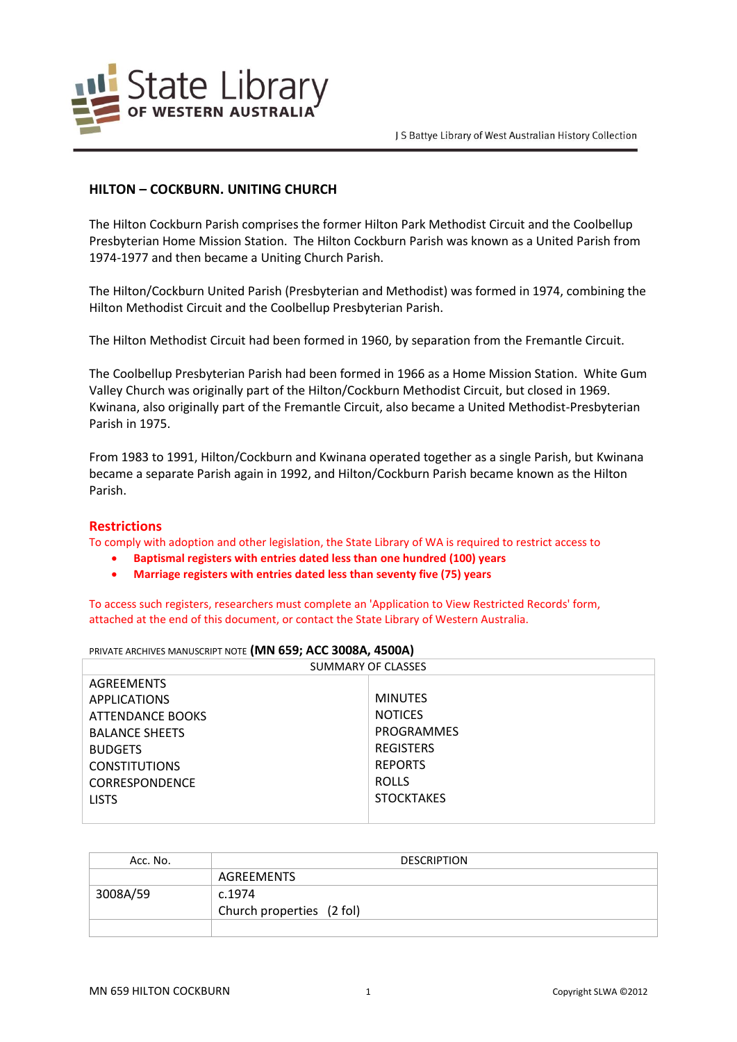

# **HILTON – COCKBURN. UNITING CHURCH**

The Hilton Cockburn Parish comprises the former Hilton Park Methodist Circuit and the Coolbellup Presbyterian Home Mission Station. The Hilton Cockburn Parish was known as a United Parish from 1974-1977 and then became a Uniting Church Parish.

The Hilton/Cockburn United Parish (Presbyterian and Methodist) was formed in 1974, combining the Hilton Methodist Circuit and the Coolbellup Presbyterian Parish.

The Hilton Methodist Circuit had been formed in 1960, by separation from the Fremantle Circuit.

The Coolbellup Presbyterian Parish had been formed in 1966 as a Home Mission Station. White Gum Valley Church was originally part of the Hilton/Cockburn Methodist Circuit, but closed in 1969. Kwinana, also originally part of the Fremantle Circuit, also became a United Methodist-Presbyterian Parish in 1975.

From 1983 to 1991, Hilton/Cockburn and Kwinana operated together as a single Parish, but Kwinana became a separate Parish again in 1992, and Hilton/Cockburn Parish became known as the Hilton Parish.

## **Restrictions**

To comply with adoption and other legislation, the State Library of WA is required to restrict access to

- **Baptismal registers with entries dated less than one hundred (100) years**
- **Marriage registers with entries dated less than seventy five (75) years**

To access such registers, researchers must complete an 'Application to View Restricted Records' form, attached at the end of this document, or contact the State Library of Western Australia.

| PRIVATE ARCHIVES MANUSCRIPT NOTE (MN 659; ACC 3008A, 4500A) |  |  |
|-------------------------------------------------------------|--|--|
|-------------------------------------------------------------|--|--|

| SUMMARY OF CLASSES    |                   |  |
|-----------------------|-------------------|--|
| <b>AGREEMENTS</b>     |                   |  |
| <b>APPLICATIONS</b>   | <b>MINUTES</b>    |  |
| ATTENDANCE BOOKS      | <b>NOTICES</b>    |  |
| <b>BALANCE SHEETS</b> | PROGRAMMES        |  |
| <b>BUDGETS</b>        | <b>REGISTERS</b>  |  |
| <b>CONSTITUTIONS</b>  | <b>REPORTS</b>    |  |
| <b>CORRESPONDENCE</b> | <b>ROLLS</b>      |  |
| <b>LISTS</b>          | <b>STOCKTAKES</b> |  |
|                       |                   |  |

| Acc. No. | <b>DESCRIPTION</b>        |
|----------|---------------------------|
|          | AGREEMENTS                |
| 3008A/59 | c.1974                    |
|          | Church properties (2 fol) |
|          |                           |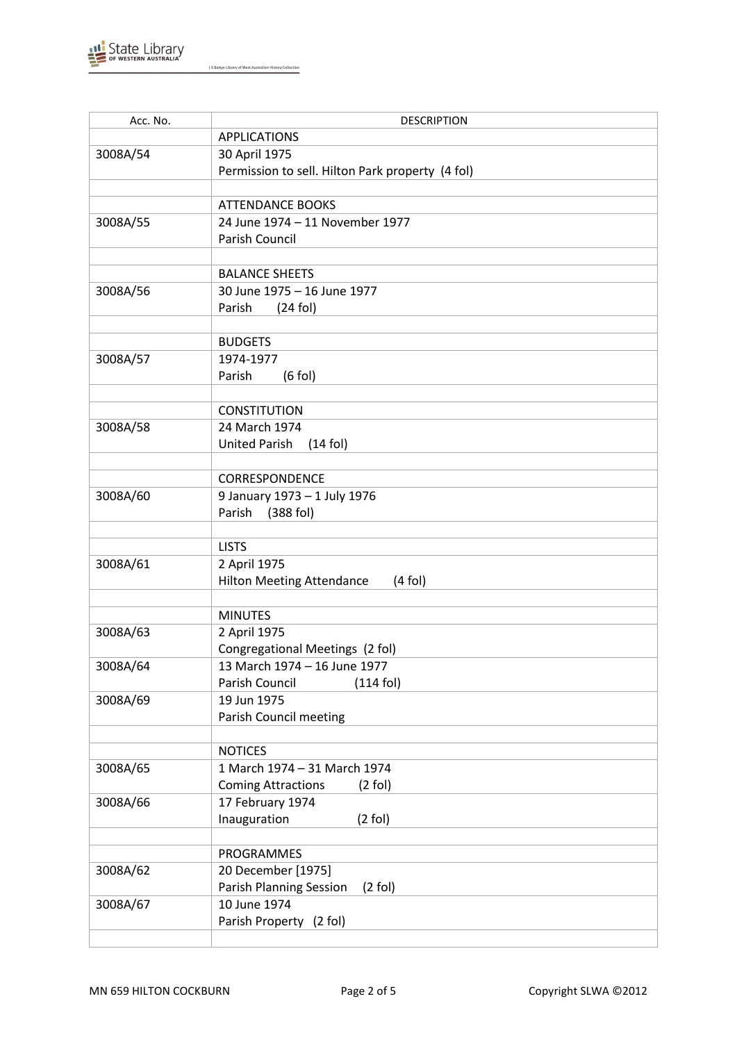

| Acc. No. | <b>DESCRIPTION</b>                               |  |
|----------|--------------------------------------------------|--|
|          | <b>APPLICATIONS</b>                              |  |
| 3008A/54 | 30 April 1975                                    |  |
|          | Permission to sell. Hilton Park property (4 fol) |  |
|          |                                                  |  |
|          | <b>ATTENDANCE BOOKS</b>                          |  |
| 3008A/55 | 24 June 1974 - 11 November 1977                  |  |
|          | Parish Council                                   |  |
|          |                                                  |  |
|          | <b>BALANCE SHEETS</b>                            |  |
| 3008A/56 | 30 June 1975 - 16 June 1977                      |  |
|          | $(24$ fol)<br>Parish                             |  |
|          |                                                  |  |
|          | <b>BUDGETS</b>                                   |  |
| 3008A/57 | 1974-1977                                        |  |
|          | Parish<br>$(6$ fol)                              |  |
|          |                                                  |  |
|          | <b>CONSTITUTION</b>                              |  |
| 3008A/58 | 24 March 1974                                    |  |
|          | United Parish<br>$(14$ fol)                      |  |
|          |                                                  |  |
|          | CORRESPONDENCE                                   |  |
| 3008A/60 | 9 January 1973 - 1 July 1976                     |  |
|          | Parish<br>$(388$ fol)                            |  |
|          |                                                  |  |
|          | <b>LISTS</b>                                     |  |
| 3008A/61 | 2 April 1975                                     |  |
|          | <b>Hilton Meeting Attendance</b><br>$(4$ fol)    |  |
|          |                                                  |  |
|          | <b>MINUTES</b>                                   |  |
| 3008A/63 | 2 April 1975                                     |  |
|          | Congregational Meetings (2 fol)                  |  |
| 3008A/64 | 13 March 1974 - 16 June 1977                     |  |
|          | Parish Council<br>$(114$ fol)                    |  |
| 3008A/69 | 19 Jun 1975                                      |  |
|          | Parish Council meeting                           |  |
|          |                                                  |  |
|          | <b>NOTICES</b>                                   |  |
| 3008A/65 | 1 March 1974 - 31 March 1974                     |  |
|          | <b>Coming Attractions</b><br>$(2$ fol)           |  |
| 3008A/66 | 17 February 1974                                 |  |
|          | Inauguration<br>$(2$ fol)                        |  |
|          |                                                  |  |
|          | PROGRAMMES                                       |  |
| 3008A/62 | 20 December [1975]                               |  |
|          | Parish Planning Session<br>$(2$ fol)             |  |
| 3008A/67 | 10 June 1974                                     |  |
|          | Parish Property (2 fol)                          |  |
|          |                                                  |  |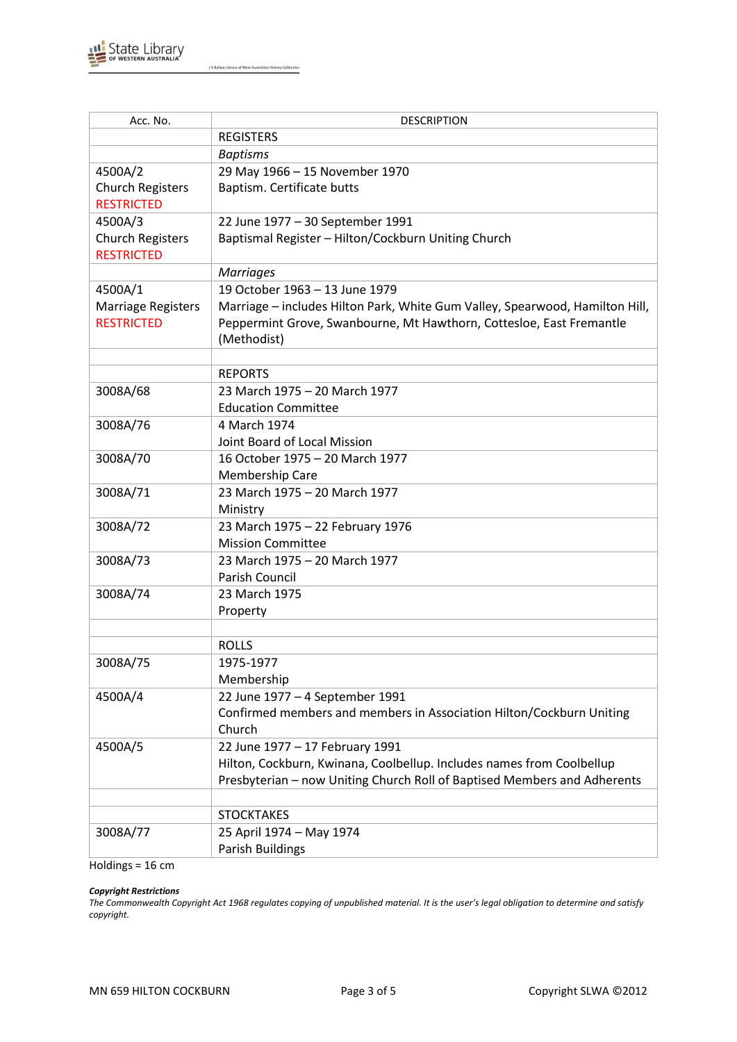

| Marriage - includes Hilton Park, White Gum Valley, Spearwood, Hamilton Hill, |
|------------------------------------------------------------------------------|
| Peppermint Grove, Swanbourne, Mt Hawthorn, Cottesloe, East Fremantle         |
|                                                                              |
|                                                                              |
|                                                                              |
|                                                                              |
|                                                                              |
|                                                                              |
|                                                                              |
|                                                                              |
|                                                                              |
|                                                                              |
|                                                                              |
|                                                                              |
|                                                                              |
|                                                                              |
|                                                                              |
|                                                                              |
|                                                                              |
|                                                                              |
|                                                                              |
|                                                                              |
|                                                                              |
|                                                                              |
|                                                                              |
|                                                                              |
|                                                                              |
|                                                                              |
|                                                                              |
|                                                                              |
| Presbyterian - now Uniting Church Roll of Baptised Members and Adherents     |
|                                                                              |
|                                                                              |
| Confirmed members and members in Association Hilton/Cockburn Uniting         |

Holdings = 16 cm

#### *Copyright Restrictions*

*The Commonwealth Copyright Act 1968 regulates copying of unpublished material. It is the user's legal obligation to determine and satisfy copyright.*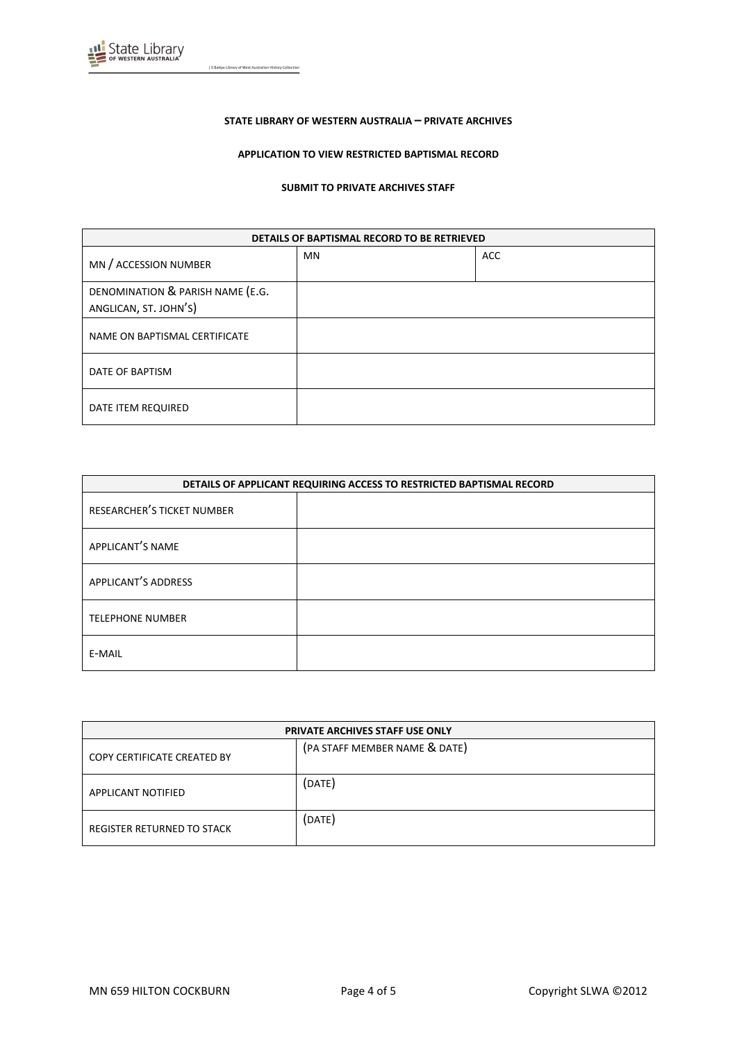

#### **STATE LIBRARY OF WESTERN AUSTRALIA – PRIVATE ARCHIVES**

#### **APPLICATION TO VIEW RESTRICTED BAPTISMAL RECORD**

#### **SUBMIT TO PRIVATE ARCHIVES STAFF**

| DETAILS OF BAPTISMAL RECORD TO BE RETRIEVED               |    |            |
|-----------------------------------------------------------|----|------------|
| MN / ACCESSION NUMBER                                     | MN | <b>ACC</b> |
| DENOMINATION & PARISH NAME (E.G.<br>ANGLICAN, ST. JOHN'S) |    |            |
| NAME ON BAPTISMAL CERTIFICATE                             |    |            |
| DATE OF BAPTISM                                           |    |            |
| DATE ITEM REQUIRED                                        |    |            |

| DETAILS OF APPLICANT REQUIRING ACCESS TO RESTRICTED BAPTISMAL RECORD |  |
|----------------------------------------------------------------------|--|
| RESEARCHER'S TICKET NUMBER                                           |  |
| APPLICANT'S NAME                                                     |  |
| APPLICANT'S ADDRESS                                                  |  |
| <b>TELEPHONE NUMBER</b>                                              |  |
| E-MAIL                                                               |  |

| <b>PRIVATE ARCHIVES STAFF USE ONLY</b> |                               |  |
|----------------------------------------|-------------------------------|--|
| COPY CERTIFICATE CREATED BY            | (PA STAFF MEMBER NAME & DATE) |  |
| APPLICANT NOTIFIED                     | (DATE)                        |  |
| REGISTER RETURNED TO STACK             | (DATE)                        |  |